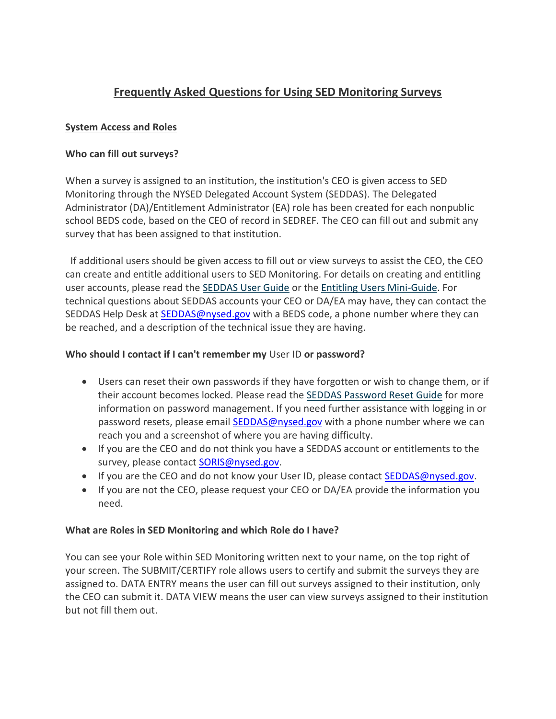# **Frequently Asked Questions for Using SED Monitoring Surveys**

# **System Access and Roles**

## **Who can fill out surveys?**

When a survey is assigned to an institution, the institution's CEO is given access to SED Monitoring through the NYSED Delegated Account System (SEDDAS). The Delegated Administrator (DA)/Entitlement Administrator (EA) role has been created for each nonpublic school BEDS code, based on the CEO of record in SEDREF. The CEO can fill out and submit any survey that has been assigned to that institution.

If additional users should be given access to fill out or view surveys to assist the CEO, the CEO can create and entitle additional users to SED Monitoring. For details on creating and entitling user accounts, please read the [SEDDAS User Guide](http://www.p12.nysed.gov/seddas/seddas-complete-user-guide.pdf) or the [Entitling Users Mini-Guide.](http://www.p12.nysed.gov/seddas/guides/monitoring-vendor-performance-system-mini-guide.pdf) For technical questions about SEDDAS accounts your CEO or DA/EA may have, they can contact the SEDDAS Help Desk at **SEDDAS@nysed.gov** with a BEDS code, a phone number where they can be reached, and a description of the technical issue they are having.

## **Who should I contact if I can't remember my** User ID **or password?**

- Users can reset their own passwords if they have forgotten or wish to change them, or if their account becomes locked. Please read the [SEDDAS Password Reset Guide](http://www.p12.nysed.gov/seddas/seddas-password-reset.pdf) for more information on password management. If you need further assistance with logging in or password resets, please email [SEDDAS@nysed.gov](mailto:SEDDAS@nysed.gov) with a phone number where we can reach you and a screenshot of where you are having difficulty.
- If you are the CEO and do not think you have a SEDDAS account or entitlements to the survey, please contact **SORIS@nysed.gov.**
- If you are the CEO and do not know your User ID, please contact [SEDDAS@nysed.gov.](mailto:SEDDAS@nysed.gov)
- If you are not the CEO, please request your CEO or DA/EA provide the information you need.

#### **What are Roles in SED Monitoring and which Role do I have?**

You can see your Role within SED Monitoring written next to your name, on the top right of your screen. The SUBMIT/CERTIFY role allows users to certify and submit the surveys they are assigned to. DATA ENTRY means the user can fill out surveys assigned to their institution, only the CEO can submit it. DATA VIEW means the user can view surveys assigned to their institution but not fill them out.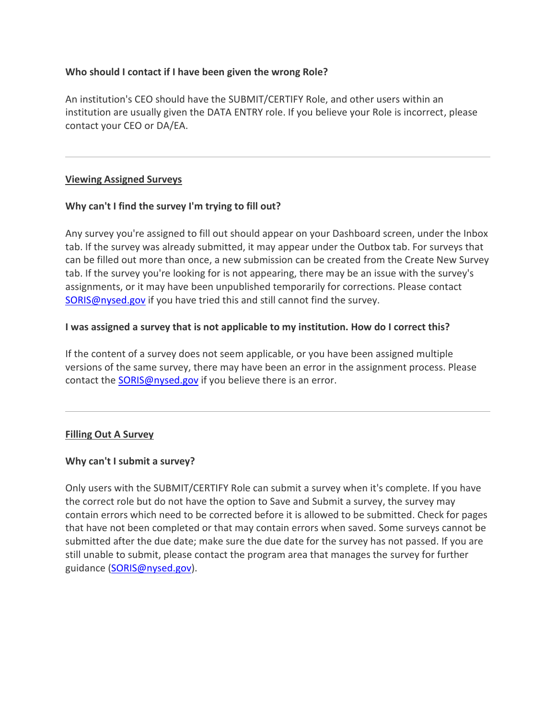#### **Who should I contact if I have been given the wrong Role?**

An institution's CEO should have the SUBMIT/CERTIFY Role, and other users within an institution are usually given the DATA ENTRY role. If you believe your Role is incorrect, please contact your CEO or DA/EA.

## **Viewing Assigned Surveys**

## **Why can't I find the survey I'm trying to fill out?**

Any survey you're assigned to fill out should appear on your Dashboard screen, under the Inbox tab. If the survey was already submitted, it may appear under the Outbox tab. For surveys that can be filled out more than once, a new submission can be created from the Create New Survey tab. If the survey you're looking for is not appearing, there may be an issue with the survey's assignments, or it may have been unpublished temporarily for corrections. Please contact [SORIS@nysed.gov](mailto:SORIS@nysed.gov) if you have tried this and still cannot find the survey.

## **I was assigned a survey that is not applicable to my institution. How do I correct this?**

If the content of a survey does not seem applicable, or you have been assigned multiple versions of the same survey, there may have been an error in the assignment process. Please contact the [SORIS@nysed.gov](mailto:SORIS@nysed.gov) if you believe there is an error.

#### **Filling Out A Survey**

#### **Why can't I submit a survey?**

Only users with the SUBMIT/CERTIFY Role can submit a survey when it's complete. If you have the correct role but do not have the option to Save and Submit a survey, the survey may contain errors which need to be corrected before it is allowed to be submitted. Check for pages that have not been completed or that may contain errors when saved. Some surveys cannot be submitted after the due date; make sure the due date for the survey has not passed. If you are still unable to submit, please contact the program area that manages the survey for further guidance [\(SORIS@nysed.gov\)](mailto:SORIS@nysed.gov).